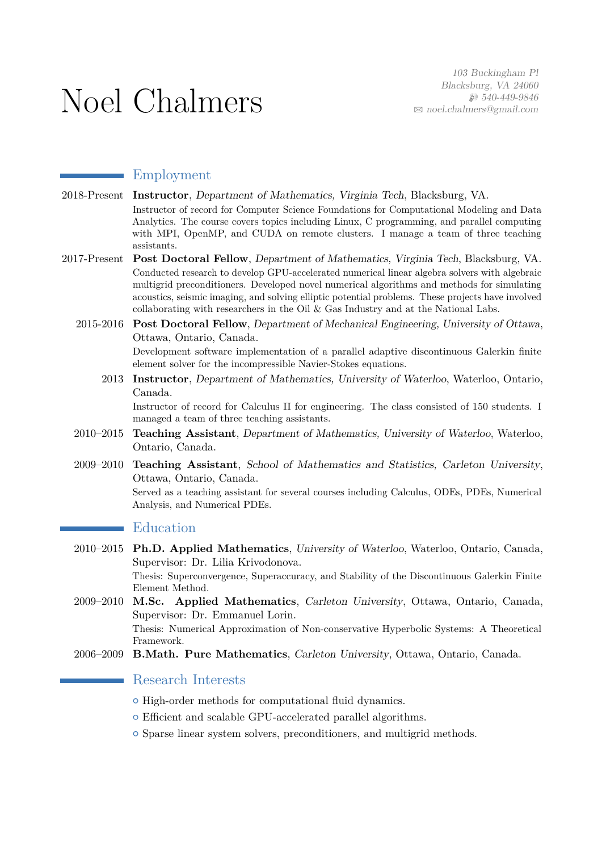# Noel Chalmers

# Employment

- 2018-Present **Instructor**, Department of Mathematics, Virginia Tech, Blacksburg, VA. Instructor of record for Computer Science Foundations for Computational Modeling and Data Analytics. The course covers topics including Linux, C programming, and parallel computing with MPI, OpenMP, and CUDA on remote clusters. I manage a team of three teaching assistants.
- 2017-Present **Post Doctoral Fellow**, Department of Mathematics, Virginia Tech, Blacksburg, VA. Conducted research to develop GPU-accelerated numerical linear algebra solvers with algebraic multigrid preconditioners. Developed novel numerical algorithms and methods for simulating acoustics, seismic imaging, and solving elliptic potential problems. These projects have involved collaborating with researchers in the Oil & Gas Industry and at the National Labs.
	- 2015-2016 **Post Doctoral Fellow**, Department of Mechanical Engineering, University of Ottawa, Ottawa, Ontario, Canada.

Development software implementation of a parallel adaptive discontinuous Galerkin finite element solver for the incompressible Navier-Stokes equations.

2013 **Instructor**, Department of Mathematics, University of Waterloo, Waterloo, Ontario, Canada.

Instructor of record for Calculus II for engineering. The class consisted of 150 students. I managed a team of three teaching assistants.

- 2010–2015 **Teaching Assistant**, Department of Mathematics, University of Waterloo, Waterloo, Ontario, Canada.
- 2009–2010 **Teaching Assistant**, School of Mathematics and Statistics, Carleton University, Ottawa, Ontario, Canada.

Served as a teaching assistant for several courses including Calculus, ODEs, PDEs, Numerical Analysis, and Numerical PDEs.

# Education

2010–2015 **Ph.D. Applied Mathematics**, University of Waterloo, Waterloo, Ontario, Canada, Supervisor: Dr. Lilia Krivodonova. Thesis: Superconvergence, Superaccuracy, and Stability of the Discontinuous Galerkin Finite

Element Method. 2009–2010 **M.Sc. Applied Mathematics**, Carleton University, Ottawa, Ontario, Canada, Supervisor: Dr. Emmanuel Lorin.

> Thesis: Numerical Approximation of Non-conservative Hyperbolic Systems: A Theoretical Framework.

2006–2009 **B.Math. Pure Mathematics**, Carleton University, Ottawa, Ontario, Canada.

## Research Interests

- $\circ$  High-order methods for computational fluid dynamics.
- $\circ$  Efficient and scalable GPU-accelerated parallel algorithms.
- $\circ$  Sparse linear system solvers, preconditioners, and multigrid methods.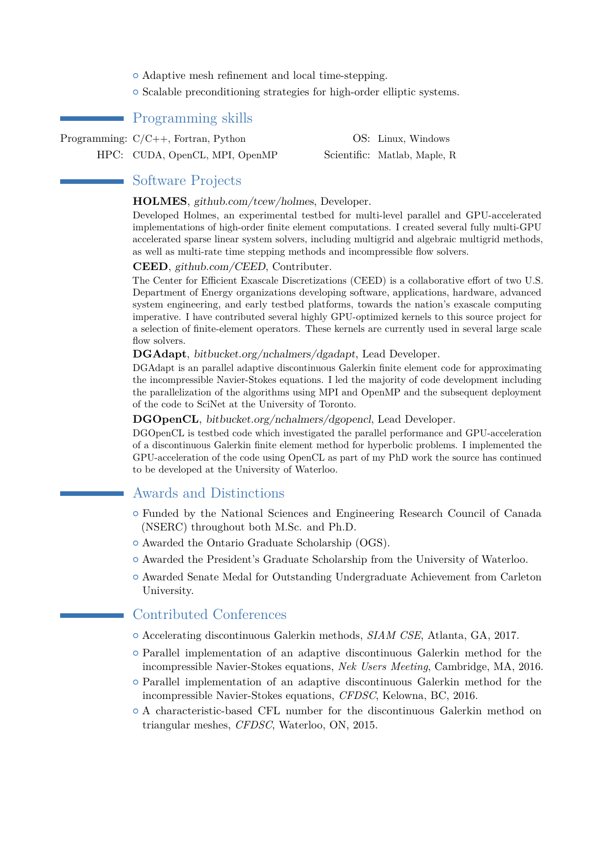- $\circ$  Adaptive mesh refinement and local time-stepping.
- $\circ$  Scalable preconditioning strategies for high-order elliptic systems.

# Programming skills

Programming:  $C/C++$ , Fortran, Python OS: Linux, Windows

HPC: CUDA, OpenCL, MPI, OpenMP Scientific: Matlab, Maple, R

## Software Projects

#### **HOLMES**, github.com/tcew/holmes, Developer.

Developed Holmes, an experimental testbed for multi-level parallel and GPU-accelerated implementations of high-order finite element computations. I created several fully multi-GPU accelerated sparse linear system solvers, including multigrid and algebraic multigrid methods, as well as multi-rate time stepping methods and incompressible flow solvers.

#### **CEED**, github.com/CEED, Contributer.

The Center for Efficient Exascale Discretizations (CEED) is a collaborative effort of two U.S. Department of Energy organizations developing software, applications, hardware, advanced system engineering, and early testbed platforms, towards the nation's exascale computing imperative. I have contributed several highly GPU-optimized kernels to this source project for a selection of finite-element operators. These kernels are currently used in several large scale flow solvers.

#### **DGAdapt**, bitbucket.org/nchalmers/dgadapt, Lead Developer.

DGAdapt is an parallel adaptive discontinuous Galerkin finite element code for approximating the incompressible Navier-Stokes equations. I led the majority of code development including the parallelization of the algorithms using MPI and OpenMP and the subsequent deployment of the code to SciNet at the University of Toronto.

**DGOpenCL**, bitbucket.org/nchalmers/dgopencl, Lead Developer.

DGOpenCL is testbed code which investigated the parallel performance and GPU-acceleration of a discontinuous Galerkin finite element method for hyperbolic problems. I implemented the GPU-acceleration of the code using OpenCL as part of my PhD work the source has continued to be developed at the University of Waterloo.

### Awards and Distinctions

- { Funded by the National Sciences and Engineering Research Council of Canada (NSERC) throughout both M.Sc. and Ph.D.
- $\circ$  Awarded the Ontario Graduate Scholarship (OGS).
- $\circ$  Awarded the President's Graduate Scholarship from the University of Waterloo.
- $\circ$  Awarded Senate Medal for Outstanding Undergraduate Achievement from Carleton University.

# Contributed Conferences

- { Accelerating discontinuous Galerkin methods, *SIAM CSE*, Atlanta, GA, 2017.
- $\circ$  Parallel implementation of an adaptive discontinuous Galerkin method for the incompressible Navier-Stokes equations, *Nek Users Meeting*, Cambridge, MA, 2016.
- $\circ$  Parallel implementation of an adaptive discontinuous Galerkin method for the incompressible Navier-Stokes equations, *CFDSC*, Kelowna, BC, 2016.
- $\circ$  A characteristic-based CFL number for the discontinuous Galerkin method on triangular meshes, *CFDSC*, Waterloo, ON, 2015.